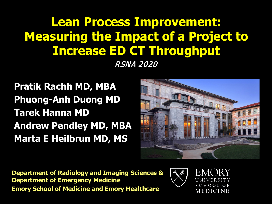### **Lean Process Improvement: Measuring the Impact of a Project to Increase ED CT Throughput**

RSNA 2020

**Pratik Rachh MD, MBA Phuong-Anh Duong MD Tarek Hanna MD Andrew Pendley MD, MBA Marta E Heilbrun MD, MS**



**Department of Radiology and Imaging Sciences & Department of Emergency Medicine Emory School of Medicine and Emory Healthcare**

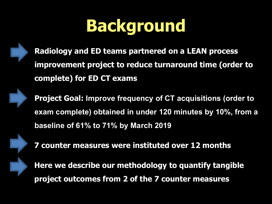# **Background**



**Radiology and ED teams partnered on a LEAN process improvement project to reduce turnaround time (order to complete) for ED CT exams**



**Project Goal: Improve frequency of CT acquisitions (order to exam complete) obtained in under 120 minutes by 10%, from a baseline of 61% to 71% by March 2019**



**7 counter measures were instituted over 12 months**

**Here we describe our methodology to quantify tangible project outcomes from 2 of the 7 counter measures**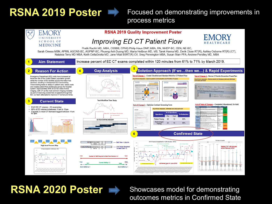### **RSNA 2019 Poster**  $\Rightarrow$  Focused on demonstrating improvements in process metrics



### **RSNA 2020 Poster**  $\Rightarrow$  Showcases model for demonstrating

### outcomes metrics in Confirmed State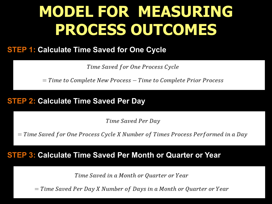# **MODEL FOR MEASURING PROCESS OUTCOMES**

#### **STEP 1: Calculate Time Saved for One Cycle**

Time Saved for One Process Cycle

 $=$  Time to Complete New Process  $-$  Time to Complete Prior Process

#### **STEP 2: Calculate Time Saved Per Day**

Time Saved Per Day

 $=$  Time Saved for One Process Cycle X Number of Times Process Performed in a Day

#### **STEP 3: Calculate Time Saved Per Month or Quarter or Year**

Time Saved in a Month or Quarter or Year

 $=$  Time Saved Per Day X Number of Days in a Month or Quarter or Year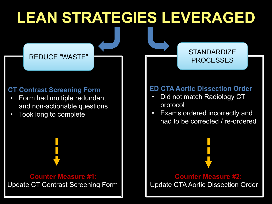# **LEAN STRATEGIES LEVERAGED**

### REDUCE "WASTE"

#### **CT Contrast Screening Form**

- Form had multiple redundant and non-actionable questions
- Took long to complete

**Counter Measure #1**: Update CT Contrast Screening Form

#### **ED CTA Aortic Dissection Order**

PROCESSES

- Did not match Radiology CT protocol
- Exams ordered incorrectly and had to be corrected / re-ordered

**Counter Measure #2:** Update CTA Aortic Dissection Order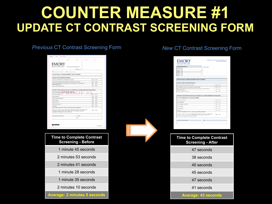### **COUNTER MEASURE #1 UPDATE CT CONTRAST SCREENING FORM**

#### *Previous* CT Contrast Screening Form *New* CT Contrast Screening Form

| EMORY<br><b>HEALTHCARE</b><br>Contrast Screening Form<br>Page 1 of 2<br>Time:<br>Tres.<br>$\square$ No<br>O Yes<br><b>O</b> <sub>No</sub><br>O Yes<br><b>D</b> No<br>Methyprednisolone)<br>O'res<br><b>DINO</b><br>Section B (Do not fill out if you are in the ED or currently admitted to the hospital)<br>Tes.<br><b>O</b> <sub>No</sub><br>Tres.<br><b>D</b> No<br><b>D</b> Yet<br>ONO<br><b>D</b> No<br>Tres.<br><b>O</b> <sub>No</sub><br>O Yes<br>$\square$ No<br>O Yes<br><b>D</b> Yet<br>ONO<br>Are you taking metformin? (below is a list drugs containing metformin)*<br>Tres DNo<br>Date |                                                                                                                                                                                                       |                |
|------------------------------------------------------------------------------------------------------------------------------------------------------------------------------------------------------------------------------------------------------------------------------------------------------------------------------------------------------------------------------------------------------------------------------------------------------------------------------------------------------------------------------------------------------------------------------------------------------|-------------------------------------------------------------------------------------------------------------------------------------------------------------------------------------------------------|----------------|
|                                                                                                                                                                                                                                                                                                                                                                                                                                                                                                                                                                                                      |                                                                                                                                                                                                       |                |
|                                                                                                                                                                                                                                                                                                                                                                                                                                                                                                                                                                                                      |                                                                                                                                                                                                       |                |
|                                                                                                                                                                                                                                                                                                                                                                                                                                                                                                                                                                                                      |                                                                                                                                                                                                       |                |
|                                                                                                                                                                                                                                                                                                                                                                                                                                                                                                                                                                                                      | Date: $\frac{1}{2}$                                                                                                                                                                                   |                |
|                                                                                                                                                                                                                                                                                                                                                                                                                                                                                                                                                                                                      | Patient Section: PLEASE ANSWER THE FOLLOWING:                                                                                                                                                         |                |
|                                                                                                                                                                                                                                                                                                                                                                                                                                                                                                                                                                                                      | Section A (All Patients/Guardians)                                                                                                                                                                    |                |
|                                                                                                                                                                                                                                                                                                                                                                                                                                                                                                                                                                                                      | Have you had intravenous contrast (dye with iodine)?                                                                                                                                                  |                |
|                                                                                                                                                                                                                                                                                                                                                                                                                                                                                                                                                                                                      | Have you had a problem with intravenous contrast (dye with iodine)?                                                                                                                                   |                |
|                                                                                                                                                                                                                                                                                                                                                                                                                                                                                                                                                                                                      | Did you take medication in preparation for your scan today? (i.e. Prednisone or                                                                                                                       |                |
|                                                                                                                                                                                                                                                                                                                                                                                                                                                                                                                                                                                                      | Do you have thyroid cancer?                                                                                                                                                                           |                |
|                                                                                                                                                                                                                                                                                                                                                                                                                                                                                                                                                                                                      |                                                                                                                                                                                                       |                |
|                                                                                                                                                                                                                                                                                                                                                                                                                                                                                                                                                                                                      |                                                                                                                                                                                                       |                |
|                                                                                                                                                                                                                                                                                                                                                                                                                                                                                                                                                                                                      | DO YOU HAVE ANY OF THE FOLLOWING:                                                                                                                                                                     |                |
|                                                                                                                                                                                                                                                                                                                                                                                                                                                                                                                                                                                                      | Currently on dialysis?                                                                                                                                                                                |                |
|                                                                                                                                                                                                                                                                                                                                                                                                                                                                                                                                                                                                      | Kidney disease?                                                                                                                                                                                       |                |
|                                                                                                                                                                                                                                                                                                                                                                                                                                                                                                                                                                                                      | Kidney surgery/transplant?                                                                                                                                                                            |                |
|                                                                                                                                                                                                                                                                                                                                                                                                                                                                                                                                                                                                      | Single Kidney?                                                                                                                                                                                        |                |
|                                                                                                                                                                                                                                                                                                                                                                                                                                                                                                                                                                                                      | Kidney cancer?                                                                                                                                                                                        |                |
|                                                                                                                                                                                                                                                                                                                                                                                                                                                                                                                                                                                                      | High blood pressure?                                                                                                                                                                                  |                |
|                                                                                                                                                                                                                                                                                                                                                                                                                                                                                                                                                                                                      | Disbetes?                                                                                                                                                                                             |                |
|                                                                                                                                                                                                                                                                                                                                                                                                                                                                                                                                                                                                      | *Metformin containing drugs: Glucophage, Glumetza, Fortamet, Glucophage XR,<br>Glucovance, Diofen, ActoPlus Met, ActoPlus Met XR, PrandiMet, Avandamet,<br>Kombiglyze, Kombiglyze XR, Janumet, Riomet |                |
|                                                                                                                                                                                                                                                                                                                                                                                                                                                                                                                                                                                                      | Patient/Guardian Signature                                                                                                                                                                            |                |
|                                                                                                                                                                                                                                                                                                                                                                                                                                                                                                                                                                                                      |                                                                                                                                                                                                       |                |
|                                                                                                                                                                                                                                                                                                                                                                                                                                                                                                                                                                                                      |                                                                                                                                                                                                       |                |
|                                                                                                                                                                                                                                                                                                                                                                                                                                                                                                                                                                                                      |                                                                                                                                                                                                       |                |
|                                                                                                                                                                                                                                                                                                                                                                                                                                                                                                                                                                                                      |                                                                                                                                                                                                       | MISC86462 R11P |
| Confineed on Page 2                                                                                                                                                                                                                                                                                                                                                                                                                                                                                                                                                                                  |                                                                                                                                                                                                       |                |
|                                                                                                                                                                                                                                                                                                                                                                                                                                                                                                                                                                                                      |                                                                                                                                                                                                       |                |
|                                                                                                                                                                                                                                                                                                                                                                                                                                                                                                                                                                                                      |                                                                                                                                                                                                       |                |
|                                                                                                                                                                                                                                                                                                                                                                                                                                                                                                                                                                                                      |                                                                                                                                                                                                       |                |
|                                                                                                                                                                                                                                                                                                                                                                                                                                                                                                                                                                                                      | <b>Time to Complete Contrast</b>                                                                                                                                                                      |                |

**Screening - Before**

1 minute 45 seconds

2 minutes 53 seconds

2 minutes 41 seconds

1 minute 28 seconds

1 minute 35 seconds

2 minutes 10 seconds

**Average: 2 minutes 5 seconds**

| <b>EALTHCARE</b>                                                                                                                                                                                   | Department of Radiology and Imaging Bolenecy<br>Contrast Screening Form |
|----------------------------------------------------------------------------------------------------------------------------------------------------------------------------------------------------|-------------------------------------------------------------------------|
| <b>Patient Information</b>                                                                                                                                                                         | <b>Personn Sticker</b>                                                  |
| Printillamo                                                                                                                                                                                        |                                                                         |
| ы<br>DOB                                                                                                                                                                                           |                                                                         |
| MRN                                                                                                                                                                                                |                                                                         |
| EMP:                                                                                                                                                                                               |                                                                         |
| Patient Section: PLEASE ANSWER THE FOLLOWING:                                                                                                                                                      |                                                                         |
| Section A (All Patients/Guardians)                                                                                                                                                                 |                                                                         |
| Here you had intravenous contrast (dyel?                                                                                                                                                           | [] Yes [] No                                                            |
| Have you had a problem with intraverous contrast (dye)?                                                                                                                                            | □ Yes □ No                                                              |
| Did you take medication in preparation for your scan today? (i.e. Prechisere or<br>Methypredmocione)                                                                                               | T Yes E No                                                              |
| De you have thy told cancer?                                                                                                                                                                       | Li Yes 11 No.                                                           |
|                                                                                                                                                                                                    |                                                                         |
| Section B (Do not fill out if you are in the ED or currently admitted to the hospital)                                                                                                             |                                                                         |
| DO YOU HAVE ANY OF THE FOLLOWING:                                                                                                                                                                  |                                                                         |
| Currently an disiyate?                                                                                                                                                                             | [1 Yes 11 No                                                            |
| Kicher daesas?                                                                                                                                                                                     | [1 Yes (1 No                                                            |
| Kkinsy surgery/transplant?                                                                                                                                                                         | Li Yes Li No.                                                           |
|                                                                                                                                                                                                    | LI Yes 11 No.                                                           |
|                                                                                                                                                                                                    |                                                                         |
| Single Kigney's<br>Kidney canter?                                                                                                                                                                  | [] You (1.780)                                                          |
| Diabates?<br>Are you taking methods in 2 do ow is a list cities containing methods?"                                                                                                               | [] Yee 1] No.                                                           |
| *Metkenin containing drugs: Glucophage. Glumetza, Fortamel, Glucophage XR,<br>Gluoyanoe, Elefan, AziaPias Mel, Adal Tas Mel XR, PrandMel, Avendamel,<br>Kentsglasv. Kontsglasv.XR, Janumet. Riunet | Li Yes 1.1 746                                                          |
| Patient/Cuscolar: Signature<br>Dife                                                                                                                                                                |                                                                         |
|                                                                                                                                                                                                    |                                                                         |
|                                                                                                                                                                                                    |                                                                         |
| <b>Time to Complete Contrast</b><br><b>Screening - After</b>                                                                                                                                       |                                                                         |
| 47 seconds                                                                                                                                                                                         |                                                                         |

40 seconds

45 seconds

47 seconds

41 seconds

**Average: 43 seconds**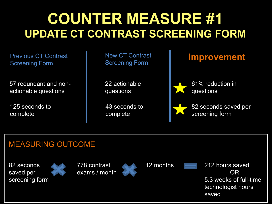### **COUNTER MEASURE #1 UPDATE CT CONTRAST SCREENING FORM**

Previous CT Contrast Screening Form

57 redundant and nonactionable questions

125 seconds to complete

New CT Contrast Screening Form

22 actionable questions

43 seconds to complete

### **Improvement**



61% reduction in questions

82 seconds saved per screening form

### MEASURING OUTCOME

82 seconds saved per screening form









12 months 212 hours saved OR 5.3 weeks of full-time technologist hours saved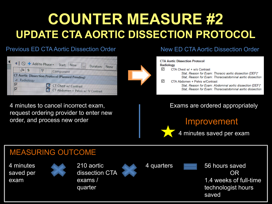## **COUNTER MEASURE #2 UPDATE CTA AORTIC DISSECTION PROTOCOL**

#### Previous ED CTA Aortic Dissection Order



4 minutes to cancel incorrect exam, request ordering provider to enter new order, and process new order

#### New ED CTA Aortic Dissection Order



Exams are ordered appropriately



4 minutes saved per exam

### MEASURING OUTCOME

4 minutes saved per exam







4 quarters **Figure 1.56 hours saved** OR 1.4 weeks of full-time technologist hours saved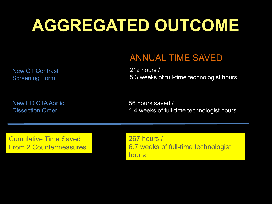# **AGGREGATED OUTCOME**

New CT Contrast Screening Form

### ANNUAL TIME SAVED

212 hours / 5.3 weeks of full-time technologist hours

New ED CTA Aortic Dissection Order

56 hours saved / 1.4 weeks of full-time technologist hours

Cumulative Time Saved From 2 Countermeasures 267 hours / 6.7 weeks of full-time technologist hours